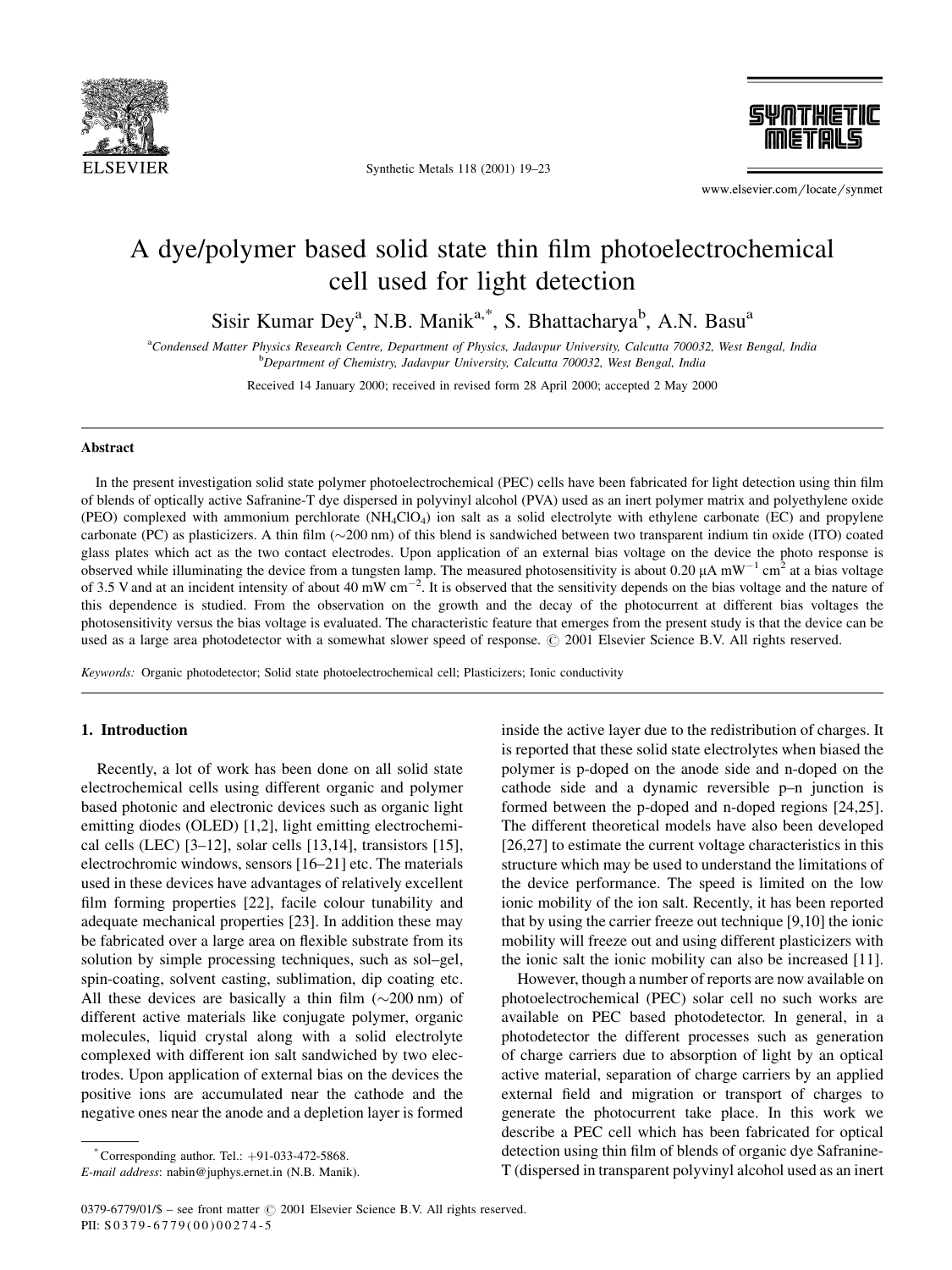

Synthetic Metals 118 (2001) 19-23



www.elsevier.com/locate/synmet

# A dye/polymer based solid state thin film photoelectrochemical cell used for light detection

Sisir Kumar Dey<sup>a</sup>, N.B. Manik<sup>a,\*</sup>, S. Bhattacharya<sup>b</sup>, A.N. Basu<sup>a</sup>

a Condensed Matter Physics Research Centre, Department of Physics, Jadavpur University, Calcutta 700032, West Bengal, India **b** Department of Chemistry, Jadavpur University, Calcutta 700032, West Bengal, India

Received 14 January 2000; received in revised form 28 April 2000; accepted 2 May 2000

#### Abstract

In the present investigation solid state polymer photoelectrochemical (PEC) cells have been fabricated for light detection using thin film of blends of optically active Safranine-T dye dispersed in polyvinyl alcohol (PVA) used as an inert polymer matrix and polyethylene oxide (PEO) complexed with ammonium perchlorate  $(NH_4ClO_4)$  ion salt as a solid electrolyte with ethylene carbonate (EC) and propylene carbonate (PC) as plasticizers. A thin film  $(\sim 200 \text{ nm})$  of this blend is sandwiched between two transparent indium tin oxide (ITO) coated glass plates which act as the two contact electrodes. Upon application of an external bias voltage on the device the photo response is observed while illuminating the device from a tungsten lamp. The measured photosensitivity is about 0.20  $\mu$ A mW<sup>-1</sup> cm<sup>2</sup> at a bias voltage of 3.5 V and at an incident intensity of about 40 mW cm<sup>-2</sup>. It is observed that the sensitivity depends on the bias voltage and the nature of this dependence is studied. From the observation on the growth and the decay of the photocurrent at different bias voltages the photosensitivity versus the bias voltage is evaluated. The characteristic feature that emerges from the present study is that the device can be used as a large area photodetector with a somewhat slower speed of response.  $\oslash$  2001 Elsevier Science B.V. All rights reserved.

Keywords: Organic photodetector; Solid state photoelectrochemical cell; Plasticizers; Ionic conductivity

# 1. Introduction

Recently, a lot of work has been done on all solid state electrochemical cells using different organic and polymer based photonic and electronic devices such as organic light emitting diodes (OLED) [1,2], light emitting electrochemical cells (LEC)  $[3-12]$ , solar cells  $[13,14]$ , transistors  $[15]$ , electrochromic windows, sensors [16-21] etc. The materials used in these devices have advantages of relatively excellent film forming properties [22], facile colour tunability and adequate mechanical properties [23]. In addition these may be fabricated over a large area on flexible substrate from its solution by simple processing techniques, such as sol-gel, spin-coating, solvent casting, sublimation, dip coating etc. All these devices are basically a thin film  $(\sim 200 \text{ nm})$  of different active materials like conjugate polymer, organic molecules, liquid crystal along with a solid electrolyte complexed with different ion salt sandwiched by two electrodes. Upon application of external bias on the devices the positive ions are accumulated near the cathode and the negative ones near the anode and a depletion layer is formed

inside the active layer due to the redistribution of charges. It is reported that these solid state electrolytes when biased the polymer is p-doped on the anode side and n-doped on the cathode side and a dynamic reversible  $p-n$  junction is formed between the p-doped and n-doped regions [24,25]. The different theoretical models have also been developed [26,27] to estimate the current voltage characteristics in this structure which may be used to understand the limitations of the device performance. The speed is limited on the low ionic mobility of the ion salt. Recently, it has been reported that by using the carrier freeze out technique [9,10] the ionic mobility will freeze out and using different plasticizers with the ionic salt the ionic mobility can also be increased [11].

However, though a number of reports are now available on photoelectrochemical (PEC) solar cell no such works are available on PEC based photodetector. In general, in a photodetector the different processes such as generation of charge carriers due to absorption of light by an optical active material, separation of charge carriers by an applied external field and migration or transport of charges to generate the photocurrent take place. In this work we describe a PEC cell which has been fabricated for optical detection using thin film of blends of organic dye Safranine-T (dispersed in transparent polyvinyl alcohol used as an inert

 $^*$ Corresponding author. Tel.:  $+91-033-472-5868$ .

E-mail address: nabin@juphys.ernet.in (N.B. Manik).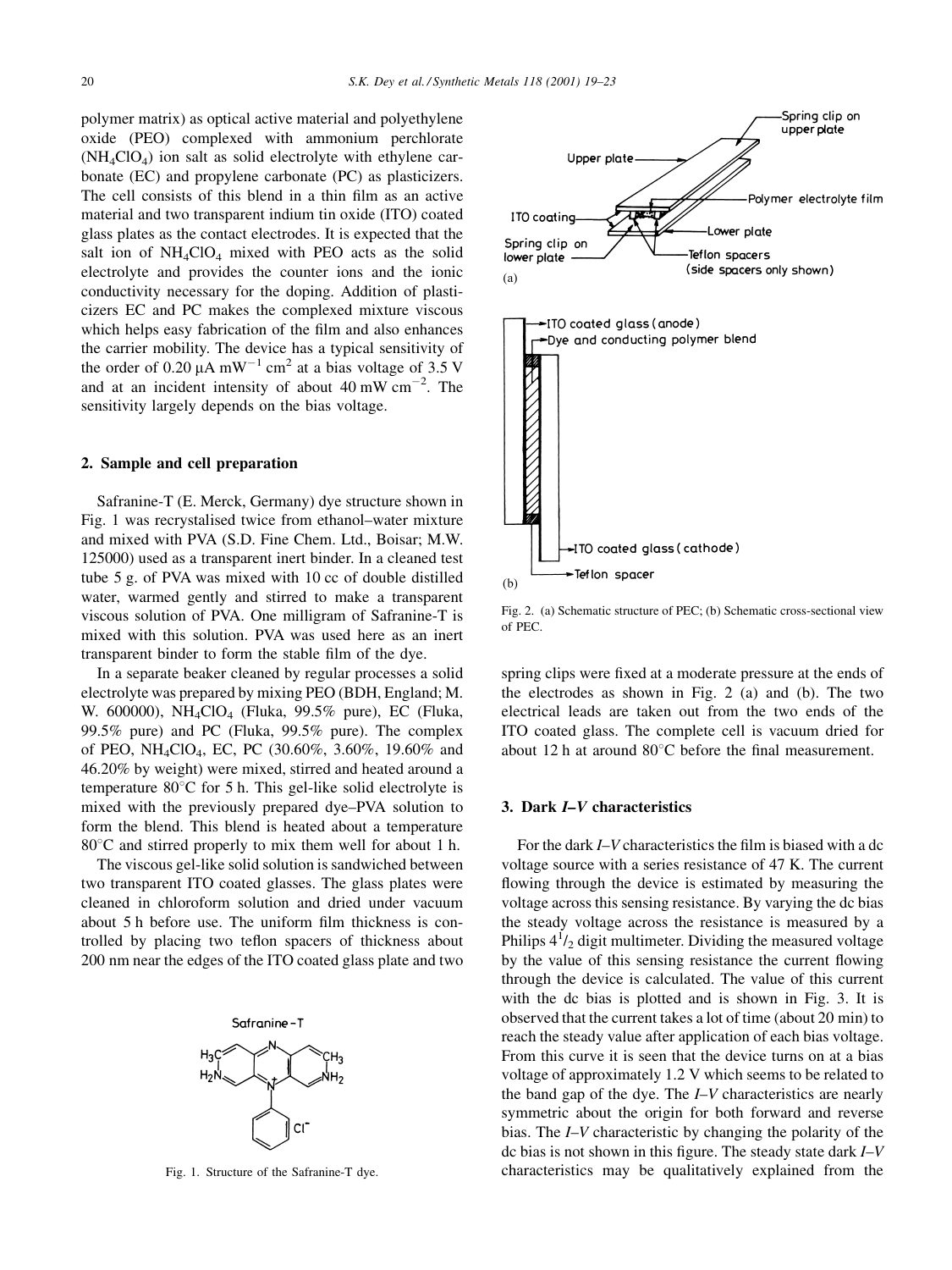polymer matrix) as optical active material and polyethylene oxide (PEO) complexed with ammonium perchlorate  $(NH_4ClO_4)$  ion salt as solid electrolyte with ethylene carbonate (EC) and propylene carbonate (PC) as plasticizers. The cell consists of this blend in a thin film as an active material and two transparent indium tin oxide (ITO) coated glass plates as the contact electrodes. It is expected that the salt ion of  $NH_4ClO_4$  mixed with PEO acts as the solid electrolyte and provides the counter ions and the ionic conductivity necessary for the doping. Addition of plasticizers EC and PC makes the complexed mixture viscous which helps easy fabrication of the film and also enhances the carrier mobility. The device has a typical sensitivity of the order of 0.20  $\mu$ A mW<sup>-1</sup> cm<sup>2</sup> at a bias voltage of 3.5 V and at an incident intensity of about  $40 \text{ mW cm}^{-2}$ . The sensitivity largely depends on the bias voltage.

#### 2. Sample and cell preparation

Safranine-T (E. Merck, Germany) dye structure shown in Fig. 1 was recrystalised twice from ethanol–water mixture and mixed with PVA (S.D. Fine Chem. Ltd., Boisar; M.W. 125000) used as a transparent inert binder. In a cleaned test tube 5 g. of PVA was mixed with 10 cc of double distilled water, warmed gently and stirred to make a transparent viscous solution of PVA. One milligram of Safranine-T is mixed with this solution. PVA was used here as an inert transparent binder to form the stable film of the dye.

In a separate beaker cleaned by regular processes a solid electrolyte was prepared by mixing PEO (BDH, England; M. W. 600000), NH4ClO4 (Fluka, 99.5% pure), EC (Fluka, 99.5% pure) and PC (Fluka, 99.5% pure). The complex of PEO, NH<sub>4</sub>ClO<sub>4</sub>, EC, PC (30.60%, 3.60%, 19.60% and 46.20% by weight) were mixed, stirred and heated around a temperature  $80^{\circ}$ C for 5 h. This gel-like solid electrolyte is mixed with the previously prepared dye–PVA solution to form the blend. This blend is heated about a temperature  $80^{\circ}$ C and stirred properly to mix them well for about 1 h.

The viscous gel-like solid solution is sandwiched between two transparent ITO coated glasses. The glass plates were cleaned in chloroform solution and dried under vacuum about 5 h before use. The uniform film thickness is controlled by placing two teflon spacers of thickness about 200 nm near the edges of the ITO coated glass plate and two





Fig. 2. (a) Schematic structure of PEC; (b) Schematic cross-sectional view of PEC.

spring clips were fixed at a moderate pressure at the ends of the electrodes as shown in Fig. 2 (a) and (b). The two electrical leads are taken out from the two ends of the ITO coated glass. The complete cell is vacuum dried for about 12 h at around  $80^{\circ}$ C before the final measurement.

# 3. Dark *I*-*V* characteristics

For the dark  $I-V$  characteristics the film is biased with a dc voltage source with a series resistance of 47 K. The current flowing through the device is estimated by measuring the voltage across this sensing resistance. By varying the dc bias the steady voltage across the resistance is measured by a Philips  $4^{1}/_{2}$  digit multimeter. Dividing the measured voltage by the value of this sensing resistance the current flowing through the device is calculated. The value of this current with the dc bias is plotted and is shown in Fig. 3. It is observed that the current takes a lot of time (about 20 min) to reach the steady value after application of each bias voltage. From this curve it is seen that the device turns on at a bias voltage of approximately 1.2 V which seems to be related to the band gap of the dye. The  $I-V$  characteristics are nearly symmetric about the origin for both forward and reverse bias. The  $I-V$  characteristic by changing the polarity of the dc bias is not shown in this figure. The steady state dark  $I-V$ Fig. 1. Structure of the Safranine-T dye. characteristics may be qualitatively explained from the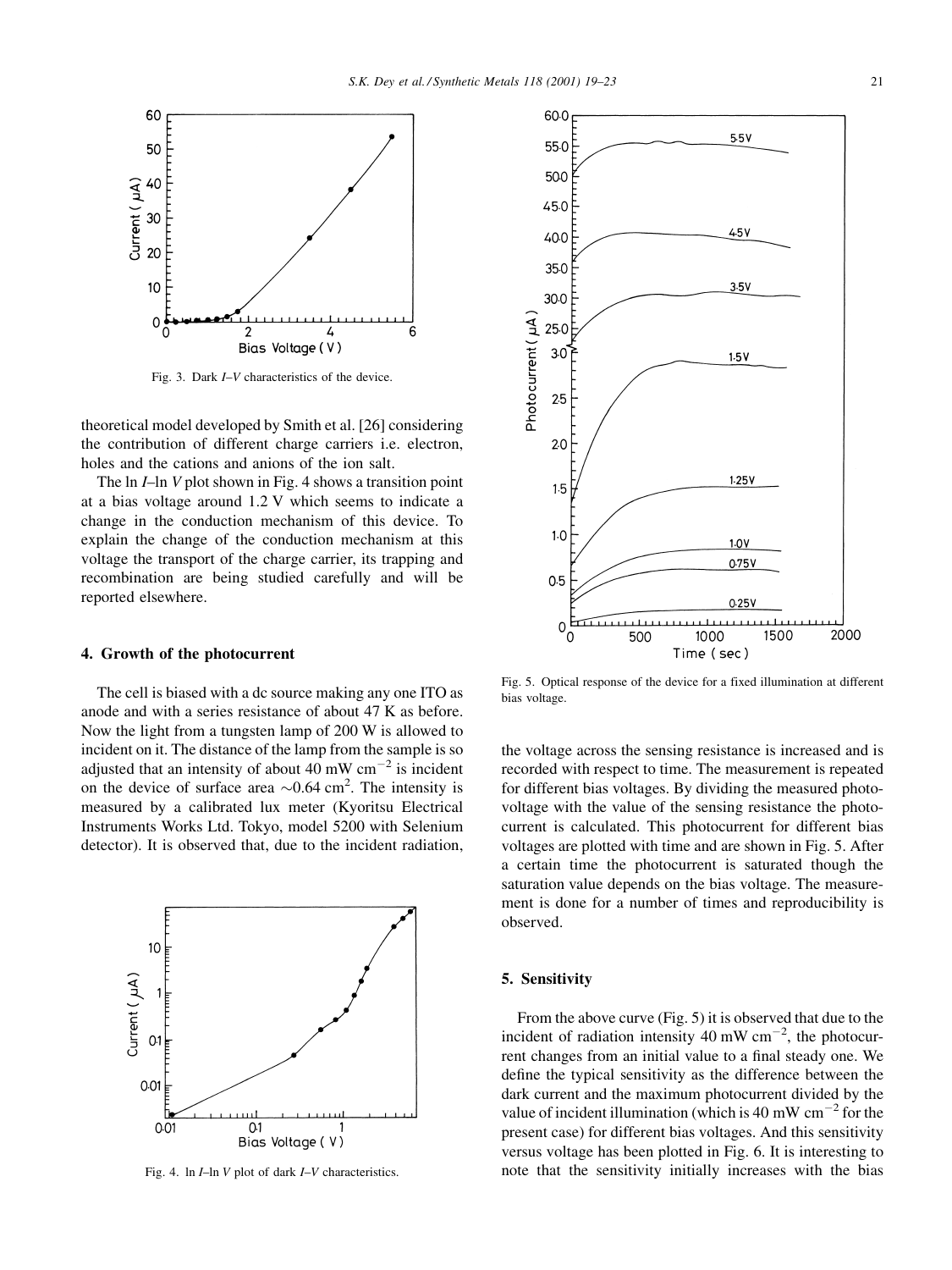

Fig. 3. Dark  $I-V$  characteristics of the device.

theoretical model developed by Smith et al. [26] considering the contribution of different charge carriers i.e. electron, holes and the cations and anions of the ion salt.

The  $\ln I$ -ln V plot shown in Fig. 4 shows a transition point at a bias voltage around 1.2 V which seems to indicate a change in the conduction mechanism of this device. To explain the change of the conduction mechanism at this voltage the transport of the charge carrier, its trapping and recombination are being studied carefully and will be reported elsewhere.

### 4. Growth of the photocurrent

The cell is biased with a dc source making any one ITO as anode and with a series resistance of about 47 K as before. Now the light from a tungsten lamp of 200 W is allowed to incident on it. The distance of the lamp from the sample is so adjusted that an intensity of about 40 mW  $cm^{-2}$  is incident on the device of surface area  $\sim 0.64$  cm<sup>2</sup>. The intensity is measured by a calibrated lux meter (Kyoritsu Electrical Instruments Works Ltd. Tokyo, model 5200 with Selenium detector). It is observed that, due to the incident radiation,



Fig. 4. ln  $I$ -ln  $V$  plot of dark  $I$ - $V$  characteristics.



Fig. 5. Optical response of the device for a fixed illumination at different bias voltage.

the voltage across the sensing resistance is increased and is recorded with respect to time. The measurement is repeated for different bias voltages. By dividing the measured photovoltage with the value of the sensing resistance the photocurrent is calculated. This photocurrent for different bias voltages are plotted with time and are shown in Fig. 5. After a certain time the photocurrent is saturated though the saturation value depends on the bias voltage. The measurement is done for a number of times and reproducibility is observed.

#### 5. Sensitivity

From the above curve (Fig. 5) it is observed that due to the incident of radiation intensity  $40 \text{ mW cm}^{-2}$ , the photocurrent changes from an initial value to a final steady one. We define the typical sensitivity as the difference between the dark current and the maximum photocurrent divided by the value of incident illumination (which is 40 mW  $cm^{-2}$  for the present case) for different bias voltages. And this sensitivity versus voltage has been plotted in Fig. 6. It is interesting to note that the sensitivity initially increases with the bias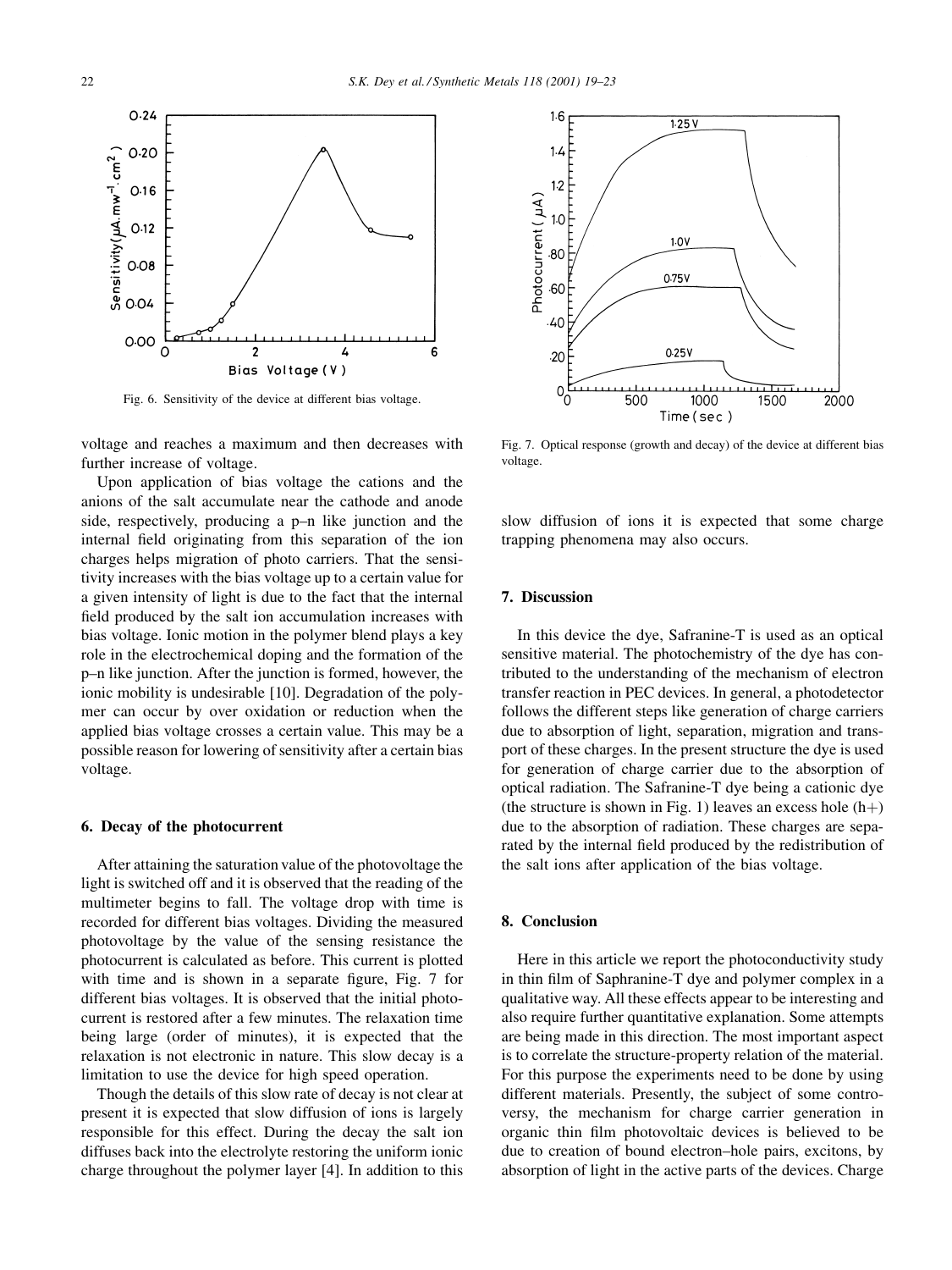

Fig. 6. Sensitivity of the device at different bias voltage.

voltage and reaches a maximum and then decreases with further increase of voltage.

Upon application of bias voltage the cations and the anions of the salt accumulate near the cathode and anode side, respectively, producing a  $p-n$  like junction and the internal field originating from this separation of the ion charges helps migration of photo carriers. That the sensitivity increases with the bias voltage up to a certain value for a given intensity of light is due to the fact that the internal field produced by the salt ion accumulation increases with bias voltage. Ionic motion in the polymer blend plays a key role in the electrochemical doping and the formation of the p-n like junction. After the junction is formed, however, the ionic mobility is undesirable [10]. Degradation of the polymer can occur by over oxidation or reduction when the applied bias voltage crosses a certain value. This may be a possible reason for lowering of sensitivity after a certain bias voltage.

# 6. Decay of the photocurrent

After attaining the saturation value of the photovoltage the light is switched off and it is observed that the reading of the multimeter begins to fall. The voltage drop with time is recorded for different bias voltages. Dividing the measured photovoltage by the value of the sensing resistance the photocurrent is calculated as before. This current is plotted with time and is shown in a separate figure, Fig.  $7$  for different bias voltages. It is observed that the initial photocurrent is restored after a few minutes. The relaxation time being large (order of minutes), it is expected that the relaxation is not electronic in nature. This slow decay is a limitation to use the device for high speed operation.

Though the details of this slow rate of decay is not clear at present it is expected that slow diffusion of ions is largely responsible for this effect. During the decay the salt ion diffuses back into the electrolyte restoring the uniform ionic charge throughout the polymer layer [4]. In addition to this



Fig. 7. Optical response (growth and decay) of the device at different bias voltage.

slow diffusion of ions it is expected that some charge trapping phenomena may also occurs.

## 7. Discussion

In this device the dye, Safranine-T is used as an optical sensitive material. The photochemistry of the dye has contributed to the understanding of the mechanism of electron transfer reaction in PEC devices. In general, a photodetector follows the different steps like generation of charge carriers due to absorption of light, separation, migration and transport of these charges. In the present structure the dye is used for generation of charge carrier due to the absorption of optical radiation. The Safranine-T dye being a cationic dye (the structure is shown in Fig. 1) leaves an excess hole  $(h+)$ due to the absorption of radiation. These charges are separated by the internal field produced by the redistribution of the salt ions after application of the bias voltage.

# 8. Conclusion

Here in this article we report the photoconductivity study in thin film of Saphranine-T dye and polymer complex in a qualitative way. All these effects appear to be interesting and also require further quantitative explanation. Some attempts are being made in this direction. The most important aspect is to correlate the structure-property relation of the material. For this purpose the experiments need to be done by using different materials. Presently, the subject of some controversy, the mechanism for charge carrier generation in organic thin film photovoltaic devices is believed to be due to creation of bound electron–hole pairs, excitons, by absorption of light in the active parts of the devices. Charge